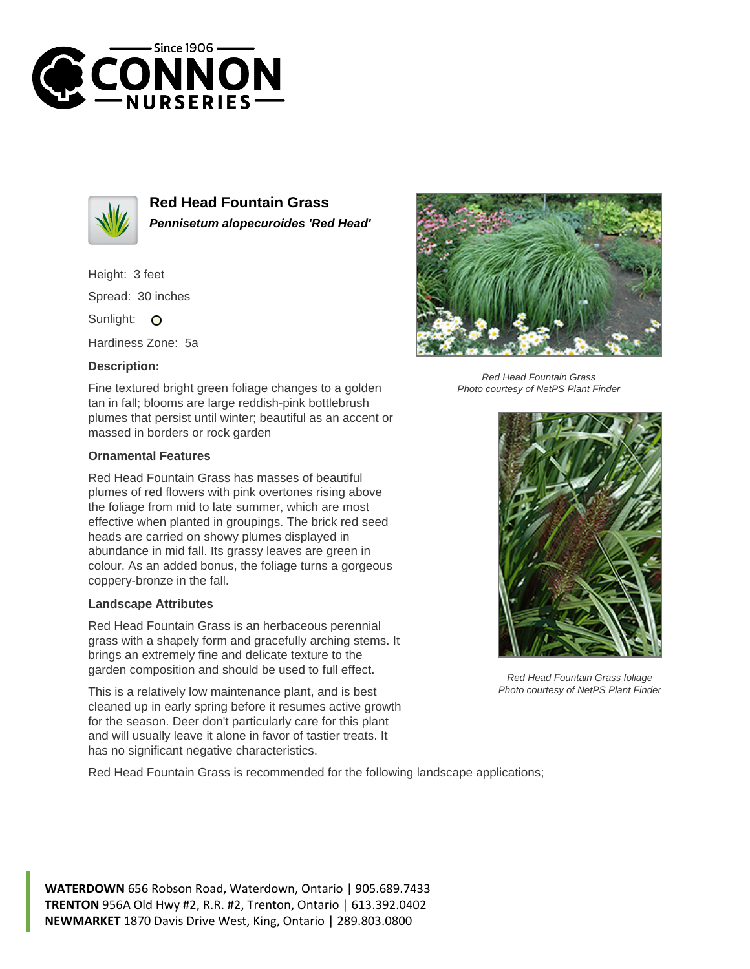



**Red Head Fountain Grass Pennisetum alopecuroides 'Red Head'**

Height: 3 feet Spread: 30 inches Sunlight: O

Hardiness Zone: 5a

## **Description:**

Fine textured bright green foliage changes to a golden tan in fall; blooms are large reddish-pink bottlebrush plumes that persist until winter; beautiful as an accent or massed in borders or rock garden

## **Ornamental Features**

Red Head Fountain Grass has masses of beautiful plumes of red flowers with pink overtones rising above the foliage from mid to late summer, which are most effective when planted in groupings. The brick red seed heads are carried on showy plumes displayed in abundance in mid fall. Its grassy leaves are green in colour. As an added bonus, the foliage turns a gorgeous coppery-bronze in the fall.

## **Landscape Attributes**

Red Head Fountain Grass is an herbaceous perennial grass with a shapely form and gracefully arching stems. It brings an extremely fine and delicate texture to the garden composition and should be used to full effect.

This is a relatively low maintenance plant, and is best cleaned up in early spring before it resumes active growth for the season. Deer don't particularly care for this plant and will usually leave it alone in favor of tastier treats. It has no significant negative characteristics.

Red Head Fountain Grass is recommended for the following landscape applications;



Red Head Fountain Grass Photo courtesy of NetPS Plant Finder



Red Head Fountain Grass foliage Photo courtesy of NetPS Plant Finder

**WATERDOWN** 656 Robson Road, Waterdown, Ontario | 905.689.7433 **TRENTON** 956A Old Hwy #2, R.R. #2, Trenton, Ontario | 613.392.0402 **NEWMARKET** 1870 Davis Drive West, King, Ontario | 289.803.0800